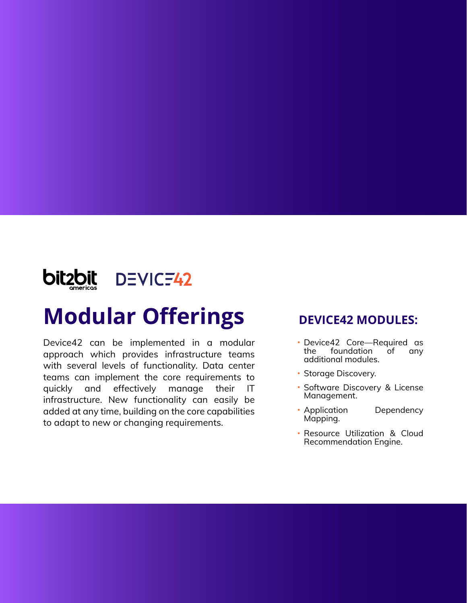

## **Modular Offerings**

Device42 can be implemented in a modular approach which provides infrastructure teams with several levels of functionality. Data center teams can implement the core requirements to quickly and effectively manage their IT infrastructure. New functionality can easily be added at any time, building on the core capabilities to adapt to new or changing requirements.

### **DEVICE42 MODULES:**

- Device42 Core—Required as foundation of any additional modules.
- Storage Discovery.
- Software Discovery & License  $\bullet$ Management.
- Application Dependency Mapping.
- Resource Utilization & Cloud Recommendation Engine.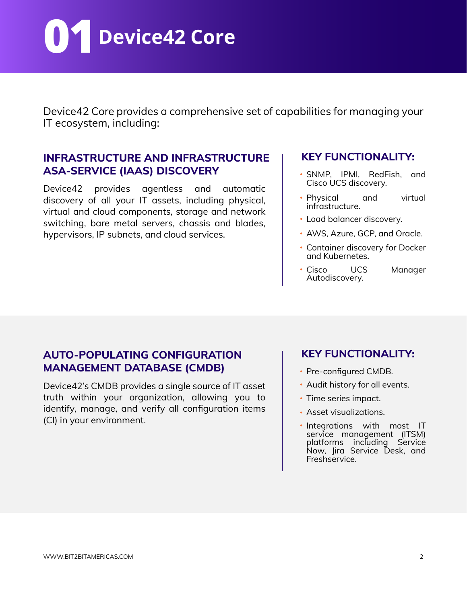**01Device42 Core**

Device42 Core provides a comprehensive set of capabilities for managing your IT ecosystem, including:

#### **INFRASTRUCTURE AND INFRASTRUCTURE ASA-SERVICE (IAAS) DISCOVERY**

Device42 provides agentless and automatic discovery of all your IT assets, including physical, virtual and cloud components, storage and network switching, bare metal servers, chassis and blades, hypervisors, IP subnets, and cloud services.

#### **KEY FUNCTIONALITY:**

- SNMP, IPMI, RedFish, and Cisco UCS discovery.
- Physical and virtual infrastructure.
- Load balancer discovery.
- AWS, Azure, GCP, and Oracle.
- Container discovery for Docker and Kubernetes.
- Cisco UCS Manager Autodiscovery.

### **AUTO-POPULATING CONFIGURATION MANAGEMENT DATABASE (CMDB)**

Device42's CMDB provides a single source of IT asset truth within your organization, allowing you to identify, manage, and verify all configuration items (CI) in your environment.

- Pre-configured CMDB.
- Audit history for all events.
- Time series impact.
- Asset visualizations.
- . Integrations with most IT service management (ITSM) platforms including Service Now, Jira Service Desk, and Freshservice.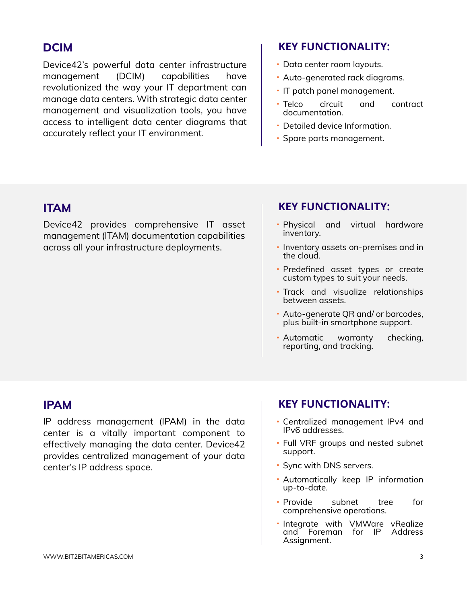Device42's powerful data center infrastructure management (DCIM) capabilities have revolutionized the way your IT department can manage data centers. With strategic data center management and visualization tools, you have access to intelligent data center diagrams that accurately reflect your IT environment.

#### **DCIM KEY FUNCTIONALITY:**

- Data center room layouts.
- Auto-generated rack diagrams.
- IT patch panel management.
- Telco circuit and contract documentation.
- Detailed device Information.
- Spare parts management.

Device42 provides comprehensive IT asset management (ITAM) documentation capabilities across all your infrastructure deployments.

#### **ITAM KEY FUNCTIONALITY:**

- Physical and virtual hardware inventory.
- **Inventory assets on-premises and in** the cloud.
- Predefined asset types or create custom types to suit your needs.
- Track and visualize relationships between assets.
- Auto-generate QR and/ or barcodes, plus built-in smartphone support.
- Automatic warranty checking, reporting, and tracking.

IP address management (IPAM) in the data center is a vitally important component to effectively managing the data center. Device42 provides centralized management of your data center's IP address space.

#### **IPAM KEY FUNCTIONALITY:**

- Centralized management IPv4 and IPv6 addresses.
- Full VRF groups and nested subnet support.
- Sync with DNS servers.
- Automatically keep IP information up-to-date.
- Provide subnet tree for comprehensive operations.
- · Integrate with VMWare vRealize and Foreman for IP Address Assignment.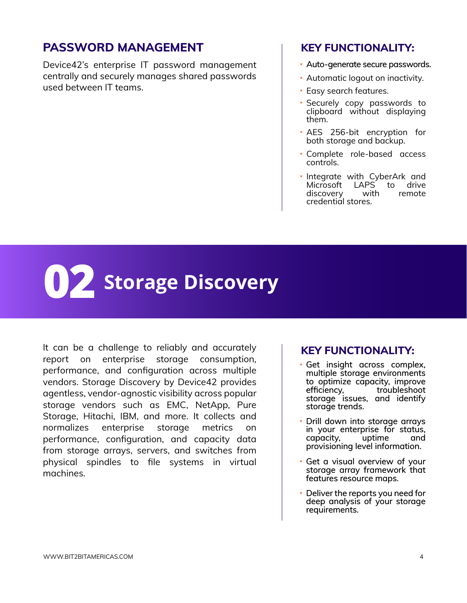### **PASSWORD MANAGEMENT FOR A REY FUNCTIONALITY:**

Device42's enterprise IT password management centrally and securely manages shared passwords used between IT teams.

- Auto-generate secure passwords.
- Automatic logout on inactivity.
- Easy search features.
- Securely copy passwords to clipboard without displaying them.
- AES 256-bit encryption for both storage and backup.
- Complete role-based access controls.
- · Integrate with CyberArk and Microsoft LAPS<sup>'</sup> to drive discovery with remote credential stores.

## **02 Storage Discovery**

It can be a challenge to reliably and accurately report on enterprise storage consumption, performance, and configuration across multiple vendors. Storage Discovery by Device42 provides agentless, vendor-agnostic visibility across popular storage vendors such as EMC, NetApp, Pure Storage, Hitachi, IBM, and more. It collects and normalizes enterprise storage metrics on performance, configuration, and capacity data from storage arrays, servers, and switches from physical spindles to file systems in virtual machines.

- Get insight across complex, multiple storage environments to optimize capacity, improve<br>efficiency, troubleshoot troubleshoot storage issues, and identify storage trends.
- Drill down into storage arrays in your enterprise for status, capacity, uptime and provisioning level information.
- Get a visual overview of your storage array framework that features resource maps.
- Deliver the reports you need for deep analysis of your storage requirements.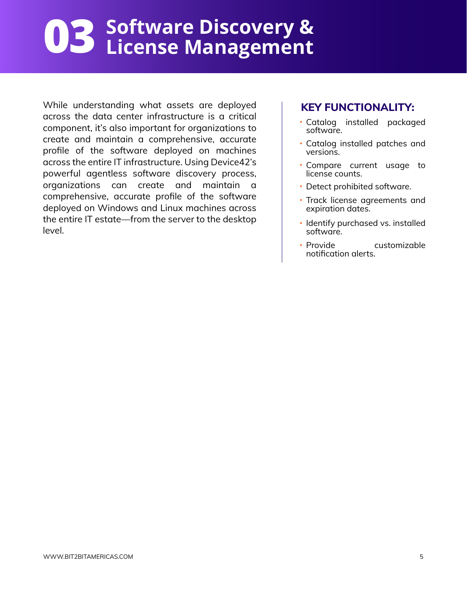## **Software Discovery & 03 License Management**

While understanding what assets are deployed across the data center infrastructure is a critical component, it's also important for organizations to create and maintain a comprehensive, accurate profile of the software deployed on machines across the entire IT infrastructure. Using Device42's powerful agentless software discovery process, organizations can create and maintain a comprehensive, accurate profile of the software deployed on Windows and Linux machines across the entire IT estate—from the server to the desktop level.

- Catalog installed packaged software.
- Catalog installed patches and versions.
- Compare current usage to license counts.
- Detect prohibited software.
- Track license agreements and expiration dates.
- Identify purchased vs. installed software.
- Provide customizable notification alerts.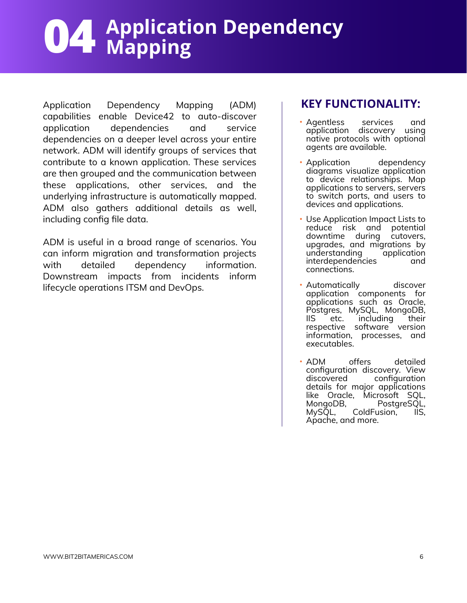# **Application Dependency 04 Mapping**

Application Dependency Mapping (ADM) capabilities enable Device42 to auto-discover application dependencies and service dependencies on a deeper level across your entire network. ADM will identify groups of services that contribute to a known application. These services are then grouped and the communication between these applications, other services, and the underlying infrastructure is automatically mapped. ADM also gathers additional details as well, including config file data.

ADM is useful in a broad range of scenarios. You can inform migration and transformation projects with detailed dependency information. Downstream impacts from incidents inform lifecycle operations ITSM and DevOps.

- Agentless services and application discovery using native protocols with optional agents are available.
- Application dependency diagrams visualize application to device relationships. Map applications to servers, servers to switch ports, and users to devices and applications.
- Use Application Impact Lists to reduce risk and potential downtime during cutovers, upgrades, and migrations by understanding application interdependencies and connections.
- Automatically discover application components for applications such as Oracle, Postgres, MySQL, MongoDB, IIS etc. including their respective software version information, processes, and executables.
- ADM offers detailed configuration discovery. View configuration details for major applications like Oracle, Microsoft SQL, MongoDB, PostgreSQL, ColdFusion, IIS, Apache, and more.